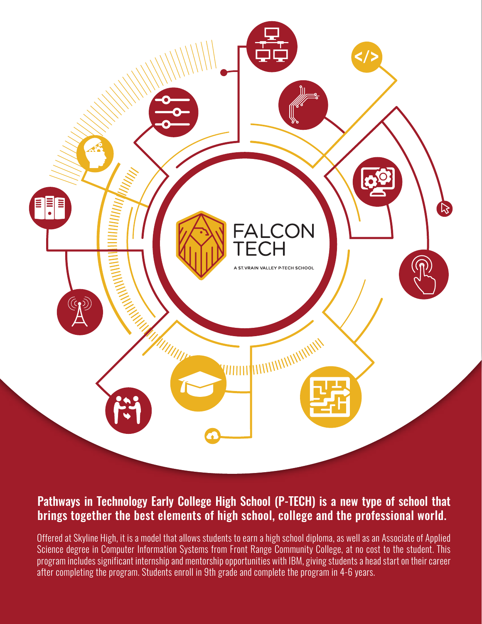

## Pathways in Technology Early College High School (P-TECH) is a new type of school that brings together the best elements of high school, college and the professional world.

Offered at Skyline High, it is a model that allows students to earn a high school diploma, as well as an Associate of Applied Science degree in Computer Information Systems from Front Range Community College, at no cost to the student. This program includes significant internship and mentorship opportunities with IBM, giving students a head start on their career after completing the program. Students enroll in 9th grade and complete the program in 4-6 years.